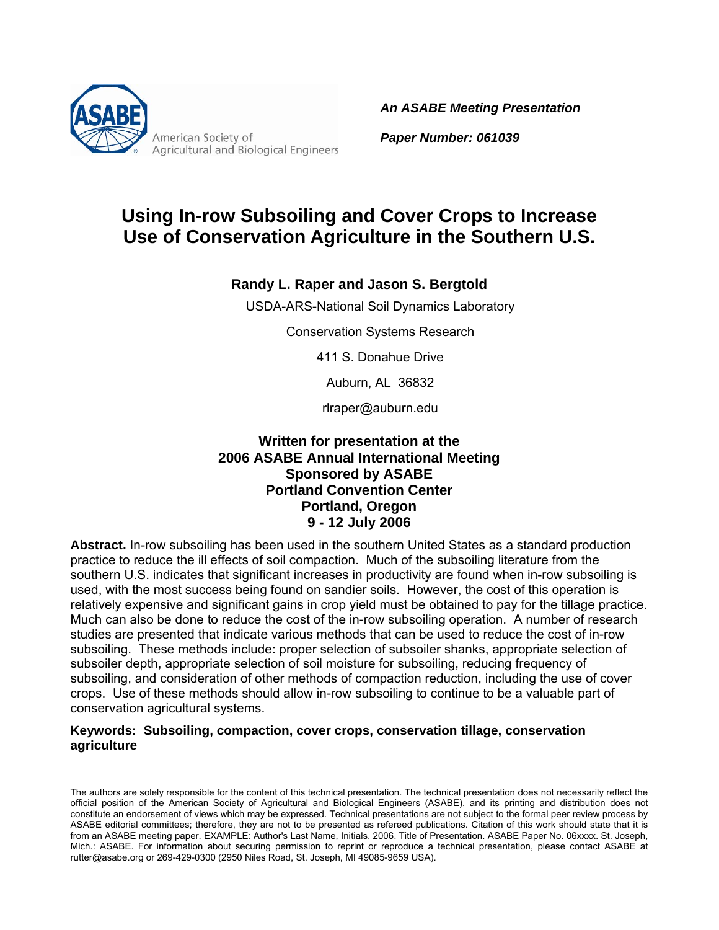

*An ASABE Meeting Presentation* 

*Paper Number: 061039* 

# **Using In-row Subsoiling and Cover Crops to Increase Use of Conservation Agriculture in the Southern U.S.**

## **Randy L. Raper and Jason S. Bergtold**

USDA-ARS-National Soil Dynamics Laboratory

Conservation Systems Research

411 S. Donahue Drive

Auburn, AL 36832

rlraper@auburn.edu

## **Written for presentation at the 2006 ASABE Annual International Meeting Sponsored by ASABE Portland Convention Center Portland, Oregon 9 - 12 July 2006**

**Abstract.** In-row subsoiling has been used in the southern United States as a standard production practice to reduce the ill effects of soil compaction. Much of the subsoiling literature from the southern U.S. indicates that significant increases in productivity are found when in-row subsoiling is used, with the most success being found on sandier soils. However, the cost of this operation is relatively expensive and significant gains in crop yield must be obtained to pay for the tillage practice. Much can also be done to reduce the cost of the in-row subsoiling operation. A number of research studies are presented that indicate various methods that can be used to reduce the cost of in-row subsoiling. These methods include: proper selection of subsoiler shanks, appropriate selection of subsoiler depth, appropriate selection of soil moisture for subsoiling, reducing frequency of subsoiling, and consideration of other methods of compaction reduction, including the use of cover crops. Use of these methods should allow in-row subsoiling to continue to be a valuable part of conservation agricultural systems.

#### **Keywords: Subsoiling, compaction, cover crops, conservation tillage, conservation agriculture**

The authors are solely responsible for the content of this technical presentation. The technical presentation does not necessarily reflect the official position of the American Society of Agricultural and Biological Engineers (ASABE), and its printing and distribution does not constitute an endorsement of views which may be expressed. Technical presentations are not subject to the formal peer review process by ASABE editorial committees; therefore, they are not to be presented as refereed publications. Citation of this work should state that it is from an ASABE meeting paper. EXAMPLE: Author's Last Name, Initials. 2006. Title of Presentation. ASABE Paper No. 06xxxx. St. Joseph, Mich.: ASABE. For information about securing permission to reprint or reproduce a technical presentation, please contact ASABE at rutter@asabe.org or 269-429-0300 (2950 Niles Road, St. Joseph, MI 49085-9659 USA).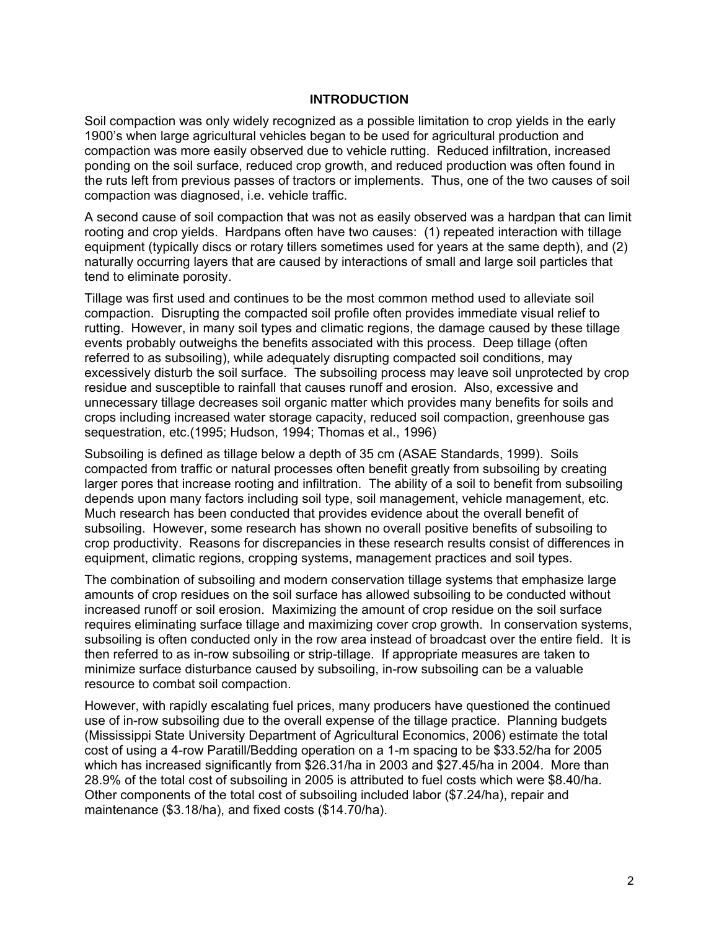#### **INTRODUCTION**

Soil compaction was only widely recognized as a possible limitation to crop yields in the early 1900's when large agricultural vehicles began to be used for agricultural production and compaction was more easily observed due to vehicle rutting. Reduced infiltration, increased ponding on the soil surface, reduced crop growth, and reduced production was often found in the ruts left from previous passes of tractors or implements. Thus, one of the two causes of soil compaction was diagnosed, i.e. vehicle traffic.

A second cause of soil compaction that was not as easily observed was a hardpan that can limit rooting and crop yields. Hardpans often have two causes: (1) repeated interaction with tillage equipment (typically discs or rotary tillers sometimes used for years at the same depth), and (2) naturally occurring layers that are caused by interactions of small and large soil particles that tend to eliminate porosity.

 excessively disturb the soil surface. The subsoiling process may leave soil unprotected by crop Tillage was first used and continues to be the most common method used to alleviate soil compaction. Disrupting the compacted soil profile often provides immediate visual relief to rutting. However, in many soil types and climatic regions, the damage caused by these tillage events probably outweighs the benefits associated with this process. Deep tillage (often referred to as subsoiling), while adequately disrupting compacted soil conditions, may residue and susceptible to rainfall that causes runoff and erosion. Also, excessive and unnecessary tillage decreases soil organic matter which provides many benefits for soils and crops including increased water storage capacity, reduced soil compaction, greenhouse gas sequestration, etc.(1995; Hudson, 1994; Thomas et al., 1996)

Subsoiling is defined as tillage below a depth of 35 cm (ASAE Standards, 1999). Soils compacted from traffic or natural processes often benefit greatly from subsoiling by creating larger pores that increase rooting and infiltration. The ability of a soil to benefit from subsoiling depends upon many factors including soil type, soil management, vehicle management, etc. Much research has been conducted that provides evidence about the overall benefit of subsoiling. However, some research has shown no overall positive benefits of subsoiling to crop productivity. Reasons for discrepancies in these research results consist of differences in equipment, climatic regions, cropping systems, management practices and soil types.

The combination of subsoiling and modern conservation tillage systems that emphasize large amounts of crop residues on the soil surface has allowed subsoiling to be conducted without increased runoff or soil erosion. Maximizing the amount of crop residue on the soil surface requires eliminating surface tillage and maximizing cover crop growth. In conservation systems, subsoiling is often conducted only in the row area instead of broadcast over the entire field. It is then referred to as in-row subsoiling or strip-tillage. If appropriate measures are taken to minimize surface disturbance caused by subsoiling, in-row subsoiling can be a valuable resource to combat soil compaction.

However, with rapidly escalating fuel prices, many producers have questioned the continued use of in-row subsoiling due to the overall expense of the tillage practice. Planning budgets (Mississippi State University Department of Agricultural Economics, 2006) estimate the total cost of using a 4-row Paratill/Bedding operation on a 1-m spacing to be \$33.52/ha for 2005 which has increased significantly from \$26.31/ha in 2003 and \$27.45/ha in 2004. More than 28.9% of the total cost of subsoiling in 2005 is attributed to fuel costs which were \$8.40/ha. Other components of the total cost of subsoiling included labor (\$7.24/ha), repair and maintenance (\$3.18/ha), and fixed costs (\$14.70/ha).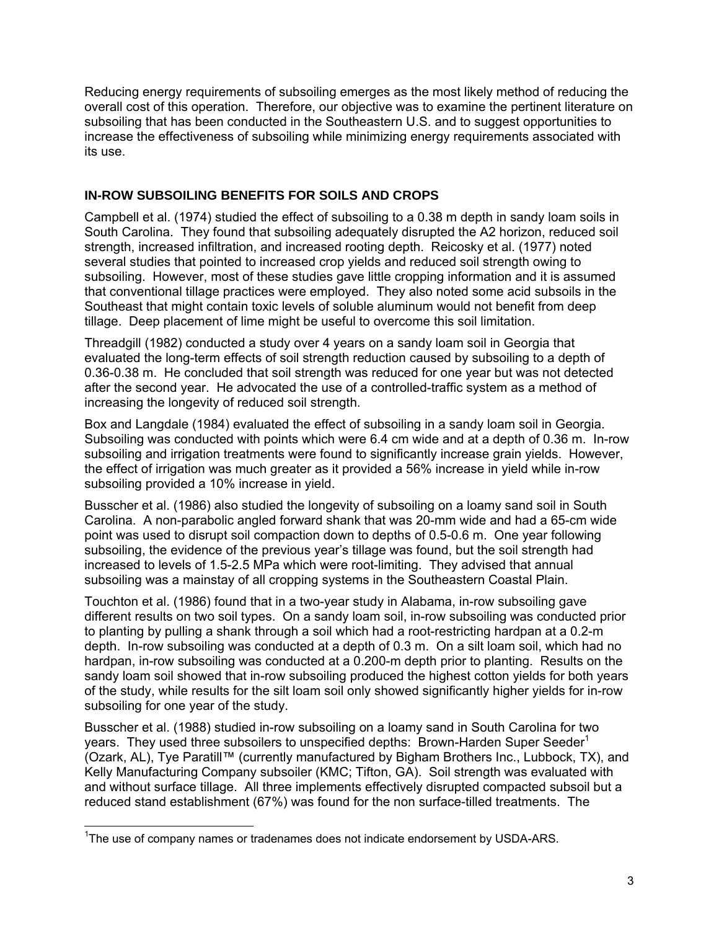Reducing energy requirements of subsoiling emerges as the most likely method of reducing the overall cost of this operation. Therefore, our objective was to examine the pertinent literature on subsoiling that has been conducted in the Southeastern U.S. and to suggest opportunities to increase the effectiveness of subsoiling while minimizing energy requirements associated with its use.

## **IN-ROW SUBSOILING BENEFITS FOR SOILS AND CROPS**

Campbell et al. (1974) studied the effect of subsoiling to a 0.38 m depth in sandy loam soils in South Carolina. They found that subsoiling adequately disrupted the A2 horizon, reduced soil strength, increased infiltration, and increased rooting depth. Reicosky et al. (1977) noted several studies that pointed to increased crop yields and reduced soil strength owing to subsoiling. However, most of these studies gave little cropping information and it is assumed that conventional tillage practices were employed. They also noted some acid subsoils in the Southeast that might contain toxic levels of soluble aluminum would not benefit from deep tillage. Deep placement of lime might be useful to overcome this soil limitation.

Threadgill (1982) conducted a study over 4 years on a sandy loam soil in Georgia that evaluated the long-term effects of soil strength reduction caused by subsoiling to a depth of 0.36-0.38 m. He concluded that soil strength was reduced for one year but was not detected after the second year. He advocated the use of a controlled-traffic system as a method of increasing the longevity of reduced soil strength.

Box and Langdale (1984) evaluated the effect of subsoiling in a sandy loam soil in Georgia. Subsoiling was conducted with points which were 6.4 cm wide and at a depth of 0.36 m. In-row subsoiling and irrigation treatments were found to significantly increase grain yields. However, the effect of irrigation was much greater as it provided a 56% increase in yield while in-row subsoiling provided a 10% increase in yield.

Busscher et al. (1986) also studied the longevity of subsoiling on a loamy sand soil in South Carolina. A non-parabolic angled forward shank that was 20-mm wide and had a 65-cm wide point was used to disrupt soil compaction down to depths of 0.5-0.6 m. One year following subsoiling, the evidence of the previous year's tillage was found, but the soil strength had increased to levels of 1.5-2.5 MPa which were root-limiting. They advised that annual subsoiling was a mainstay of all cropping systems in the Southeastern Coastal Plain.

Touchton et al. (1986) found that in a two-year study in Alabama, in-row subsoiling gave different results on two soil types. On a sandy loam soil, in-row subsoiling was conducted prior to planting by pulling a shank through a soil which had a root-restricting hardpan at a 0.2-m depth. In-row subsoiling was conducted at a depth of 0.3 m. On a silt loam soil, which had no hardpan, in-row subsoiling was conducted at a 0.200-m depth prior to planting. Results on the sandy loam soil showed that in-row subsoiling produced the highest cotton yields for both years of the study, while results for the silt loam soil only showed significantly higher yields for in-row subsoiling for one year of the study.

Busscher et al. (1988) studied in-row subsoiling on a loamy sand in South Carolina for two years. They used three subsoilers to unspecified depths: Brown-Harden Super Seeder<sup>1</sup> (Ozark, AL), Tye Paratill™ (currently manufactured by Bigham Brothers Inc., Lubbock, TX), and Kelly Manufacturing Company subsoiler (KMC; Tifton, GA). Soil strength was evaluated with and without surface tillage. All three implements effectively disrupted compacted subsoil but a reduced stand establishment (67%) was found for the non surface-tilled treatments. The

 <sup>1</sup>The use of company names or tradenames does not indicate endorsement by USDA-ARS.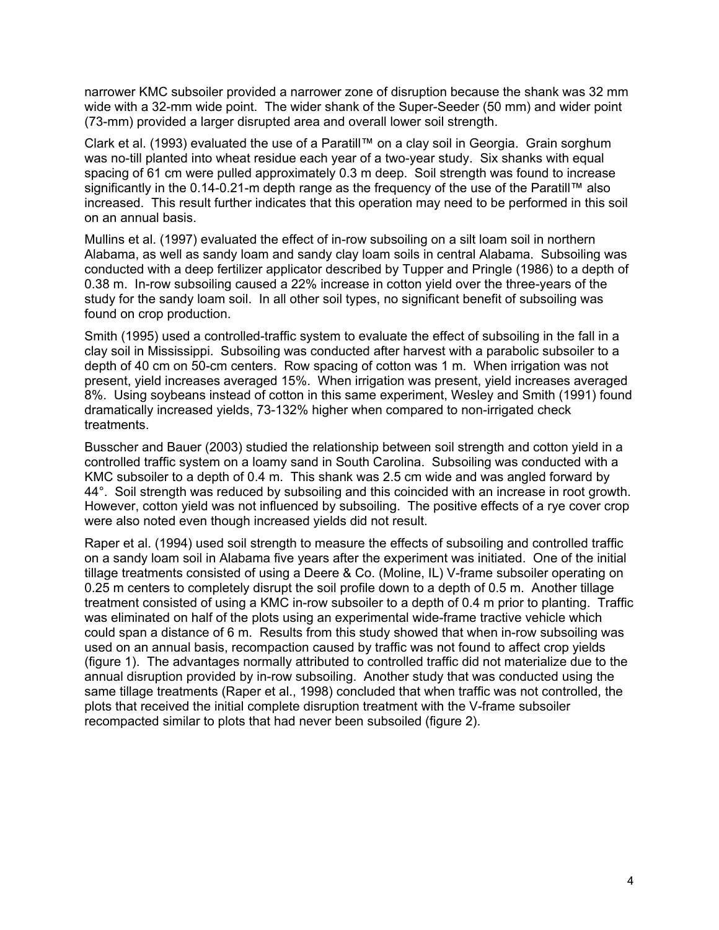narrower KMC subsoiler provided a narrower zone of disruption because the shank was 32 mm wide with a 32-mm wide point. The wider shank of the Super-Seeder (50 mm) and wider point (73-mm) provided a larger disrupted area and overall lower soil strength.

Clark et al. (1993) evaluated the use of a Paratill™ on a clay soil in Georgia. Grain sorghum was no-till planted into wheat residue each year of a two-year study. Six shanks with equal spacing of 61 cm were pulled approximately 0.3 m deep. Soil strength was found to increase significantly in the 0.14-0.21-m depth range as the frequency of the use of the Paratill™ also increased. This result further indicates that this operation may need to be performed in this soil on an annual basis.

Mullins et al. (1997) evaluated the effect of in-row subsoiling on a silt loam soil in northern Alabama, as well as sandy loam and sandy clay loam soils in central Alabama. Subsoiling was conducted with a deep fertilizer applicator described by Tupper and Pringle (1986) to a depth of 0.38 m. In-row subsoiling caused a 22% increase in cotton yield over the three-years of the study for the sandy loam soil. In all other soil types, no significant benefit of subsoiling was found on crop production.

Smith (1995) used a controlled-traffic system to evaluate the effect of subsoiling in the fall in a clay soil in Mississippi. Subsoiling was conducted after harvest with a parabolic subsoiler to a depth of 40 cm on 50-cm centers. Row spacing of cotton was 1 m. When irrigation was not present, yield increases averaged 15%. When irrigation was present, yield increases averaged 8%. Using soybeans instead of cotton in this same experiment, Wesley and Smith (1991) found dramatically increased yields, 73-132% higher when compared to non-irrigated check treatments.

Busscher and Bauer (2003) studied the relationship between soil strength and cotton yield in a controlled traffic system on a loamy sand in South Carolina. Subsoiling was conducted with a KMC subsoiler to a depth of 0.4 m. This shank was 2.5 cm wide and was angled forward by 44°. Soil strength was reduced by subsoiling and this coincided with an increase in root growth. However, cotton yield was not influenced by subsoiling. The positive effects of a rye cover crop were also noted even though increased yields did not result.

Raper et al. (1994) used soil strength to measure the effects of subsoiling and controlled traffic on a sandy loam soil in Alabama five years after the experiment was initiated. One of the initial tillage treatments consisted of using a Deere & Co. (Moline, IL) V-frame subsoiler operating on 0.25 m centers to completely disrupt the soil profile down to a depth of 0.5 m. Another tillage treatment consisted of using a KMC in-row subsoiler to a depth of 0.4 m prior to planting. Traffic was eliminated on half of the plots using an experimental wide-frame tractive vehicle which could span a distance of 6 m. Results from this study showed that when in-row subsoiling was used on an annual basis, recompaction caused by traffic was not found to affect crop yields (figure 1). The advantages normally attributed to controlled traffic did not materialize due to the annual disruption provided by in-row subsoiling. Another study that was conducted using the same tillage treatments (Raper et al., 1998) concluded that when traffic was not controlled, the plots that received the initial complete disruption treatment with the V-frame subsoiler recompacted similar to plots that had never been subsoiled (figure 2).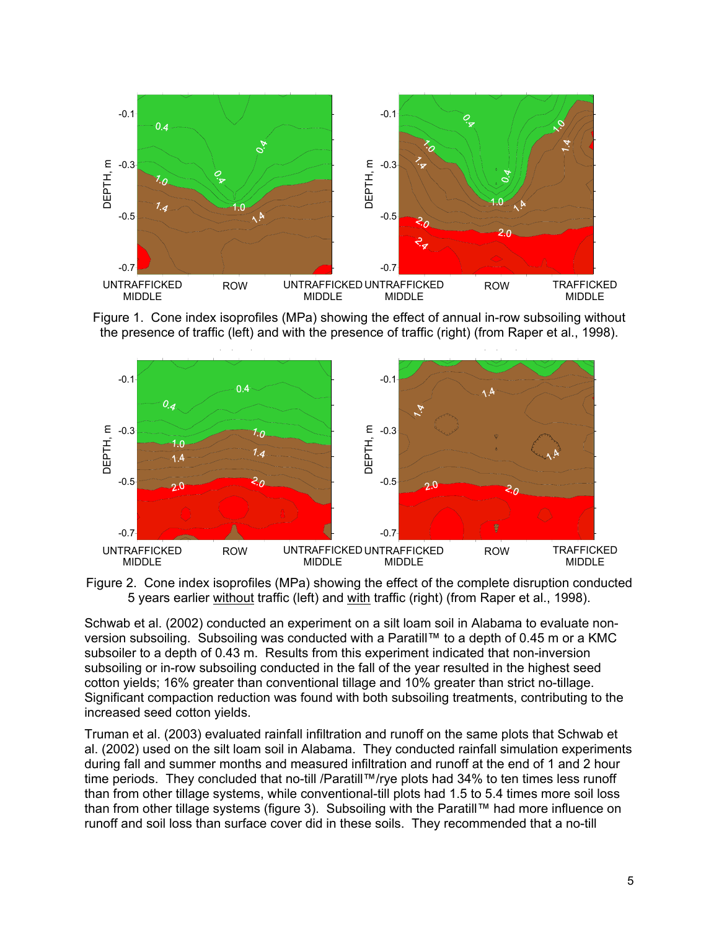

Figure 1. Cone index isoprofiles (MPa) showing the effect of annual in-row subsoiling without the presence of traffic (left) and with the presence of traffic (right) (from Raper et al., 1998).



Figure 2. Cone index isoprofiles (MPa) showing the effect of the complete disruption conducted 5 years earlier without traffic (left) and with traffic (right) (from Raper et al., 1998).

Schwab et al. (2002) conducted an experiment on a silt loam soil in Alabama to evaluate nonversion subsoiling. Subsoiling was conducted with a Paratill™ to a depth of 0.45 m or a KMC subsoiler to a depth of 0.43 m. Results from this experiment indicated that non-inversion subsoiling or in-row subsoiling conducted in the fall of the year resulted in the highest seed cotton yields; 16% greater than conventional tillage and 10% greater than strict no-tillage. Significant compaction reduction was found with both subsoiling treatments, contributing to the increased seed cotton yields.

Truman et al. (2003) evaluated rainfall infiltration and runoff on the same plots that Schwab et al. (2002) used on the silt loam soil in Alabama. They conducted rainfall simulation experiments during fall and summer months and measured infiltration and runoff at the end of 1 and 2 hour time periods. They concluded that no-till /Paratill™/rye plots had 34% to ten times less runoff than from other tillage systems, while conventional-till plots had 1.5 to 5.4 times more soil loss than from other tillage systems (figure 3). Subsoiling with the Paratill™ had more influence on runoff and soil loss than surface cover did in these soils. They recommended that a no-till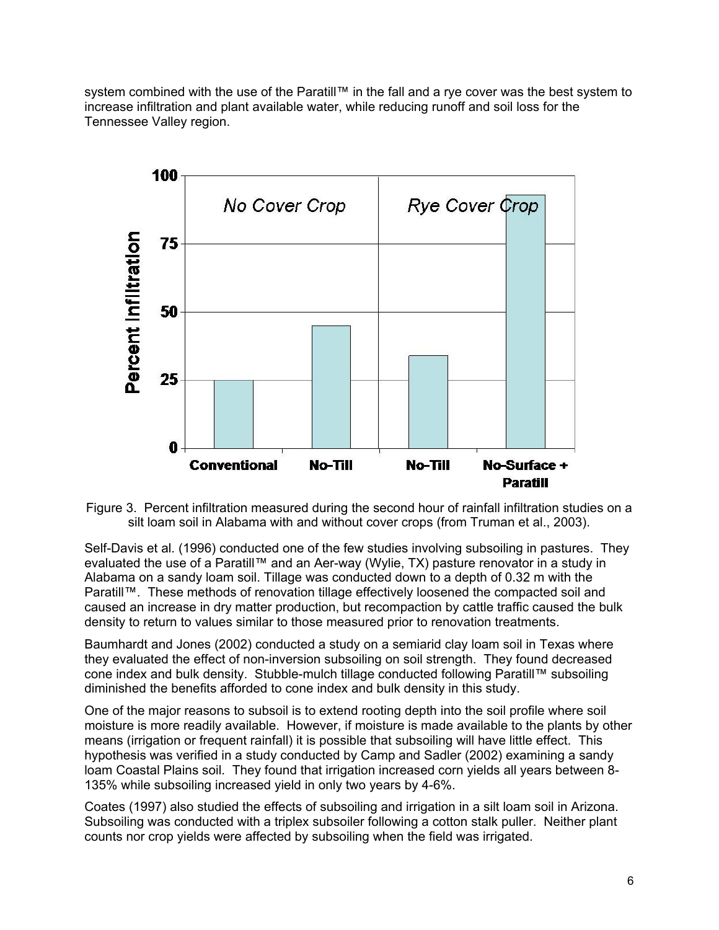system combined with the use of the Paratill™ in the fall and a rye cover was the best system to increase infiltration and plant available water, while reducing runoff and soil loss for the Tennessee Valley region.



Figure 3. Percent infiltration measured during the second hour of rainfall infiltration studies on a silt loam soil in Alabama with and without cover crops (from Truman et al., 2003).

Self-Davis et al. (1996) conducted one of the few studies involving subsoiling in pastures. They evaluated the use of a Paratill™ and an Aer-way (Wylie, TX) pasture renovator in a study in Alabama on a sandy loam soil. Tillage was conducted down to a depth of 0.32 m with the Paratill™. These methods of renovation tillage effectively loosened the compacted soil and caused an increase in dry matter production, but recompaction by cattle traffic caused the bulk density to return to values similar to those measured prior to renovation treatments.

Baumhardt and Jones (2002) conducted a study on a semiarid clay loam soil in Texas where they evaluated the effect of non-inversion subsoiling on soil strength. They found decreased cone index and bulk density. Stubble-mulch tillage conducted following Paratill™ subsoiling diminished the benefits afforded to cone index and bulk density in this study.

One of the major reasons to subsoil is to extend rooting depth into the soil profile where soil moisture is more readily available. However, if moisture is made available to the plants by other means (irrigation or frequent rainfall) it is possible that subsoiling will have little effect. This hypothesis was verified in a study conducted by Camp and Sadler (2002) examining a sandy loam Coastal Plains soil. They found that irrigation increased corn yields all years between 8 135% while subsoiling increased yield in only two years by 4-6%.

Coates (1997) also studied the effects of subsoiling and irrigation in a silt loam soil in Arizona. Subsoiling was conducted with a triplex subsoiler following a cotton stalk puller. Neither plant counts nor crop yields were affected by subsoiling when the field was irrigated.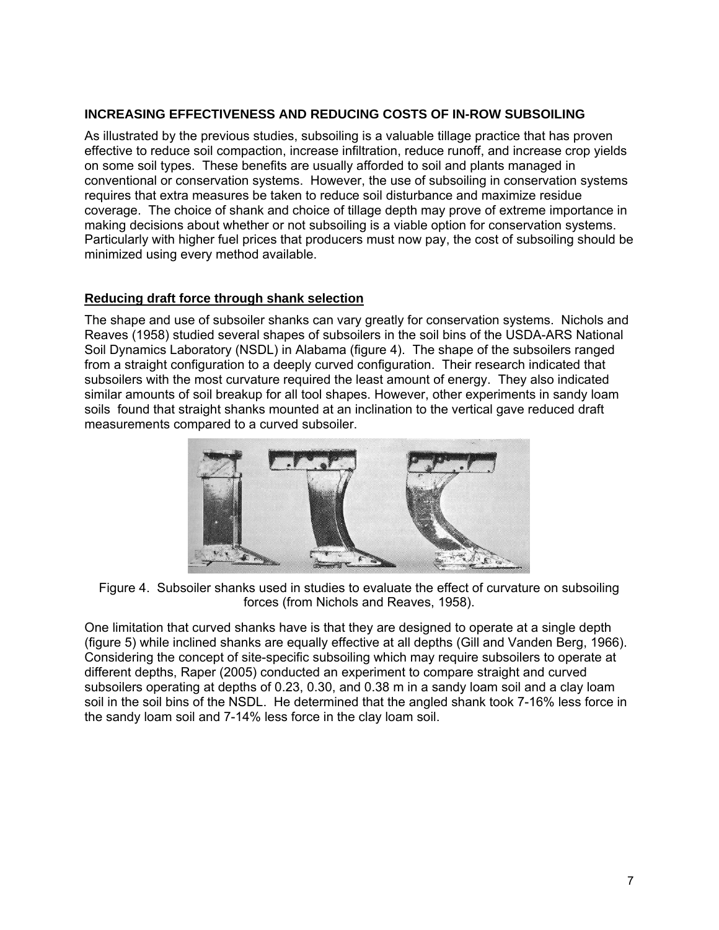## **INCREASING EFFECTIVENESS AND REDUCING COSTS OF IN-ROW SUBSOILING**

As illustrated by the previous studies, subsoiling is a valuable tillage practice that has proven effective to reduce soil compaction, increase infiltration, reduce runoff, and increase crop yields on some soil types. These benefits are usually afforded to soil and plants managed in conventional or conservation systems. However, the use of subsoiling in conservation systems requires that extra measures be taken to reduce soil disturbance and maximize residue coverage. The choice of shank and choice of tillage depth may prove of extreme importance in making decisions about whether or not subsoiling is a viable option for conservation systems. Particularly with higher fuel prices that producers must now pay, the cost of subsoiling should be minimized using every method available.

#### **Reducing draft force through shank selection**

The shape and use of subsoiler shanks can vary greatly for conservation systems. Nichols and Reaves (1958) studied several shapes of subsoilers in the soil bins of the USDA-ARS National Soil Dynamics Laboratory (NSDL) in Alabama (figure 4). The shape of the subsoilers ranged from a straight configuration to a deeply curved configuration. Their research indicated that subsoilers with the most curvature required the least amount of energy. They also indicated similar amounts of soil breakup for all tool shapes. However, other experiments in sandy loam soils found that straight shanks mounted at an inclination to the vertical gave reduced draft measurements compared to a curved subsoiler.



Figure 4. Subsoiler shanks used in studies to evaluate the effect of curvature on subsoiling forces (from Nichols and Reaves, 1958).

One limitation that curved shanks have is that they are designed to operate at a single depth (figure 5) while inclined shanks are equally effective at all depths (Gill and Vanden Berg, 1966). Considering the concept of site-specific subsoiling which may require subsoilers to operate at different depths, Raper (2005) conducted an experiment to compare straight and curved subsoilers operating at depths of 0.23, 0.30, and 0.38 m in a sandy loam soil and a clay loam soil in the soil bins of the NSDL. He determined that the angled shank took 7-16% less force in the sandy loam soil and 7-14% less force in the clay loam soil.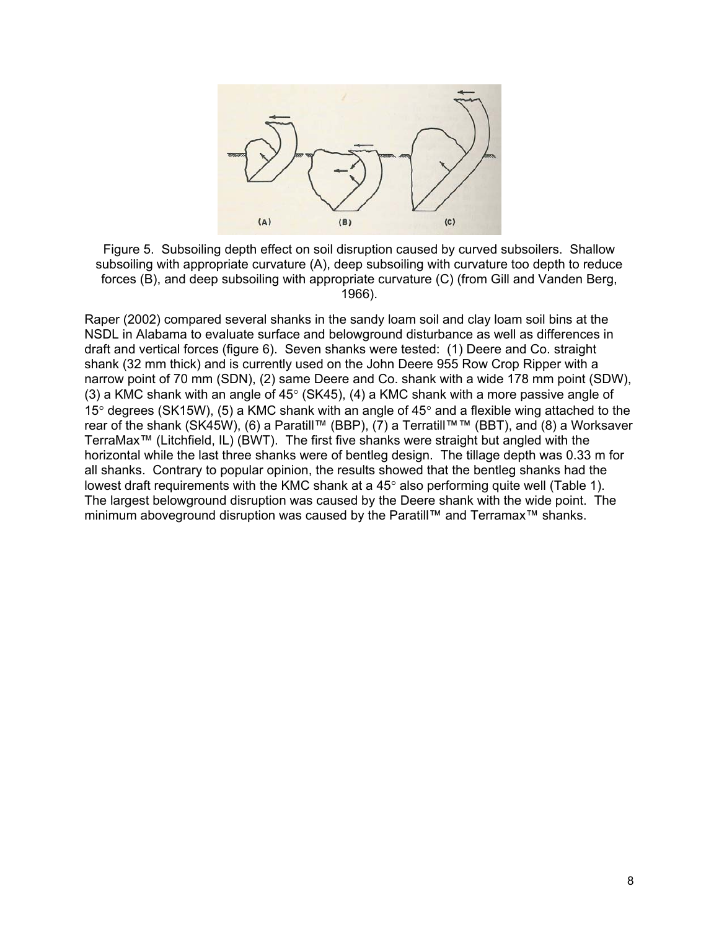

Figure 5. Subsoiling depth effect on soil disruption caused by curved subsoilers. Shallow subsoiling with appropriate curvature (A), deep subsoiling with curvature too depth to reduce forces (B), and deep subsoiling with appropriate curvature (C) (from Gill and Vanden Berg, 1966).

Raper (2002) compared several shanks in the sandy loam soil and clay loam soil bins at the NSDL in Alabama to evaluate surface and belowground disturbance as well as differences in draft and vertical forces (figure 6). Seven shanks were tested: (1) Deere and Co. straight shank (32 mm thick) and is currently used on the John Deere 955 Row Crop Ripper with a narrow point of 70 mm (SDN), (2) same Deere and Co. shank with a wide 178 mm point (SDW), (3) a KMC shank with an angle of 45° (SK45), (4) a KMC shank with a more passive angle of 15° degrees (SK15W), (5) a KMC shank with an angle of 45° and a flexible wing attached to the rear of the shank (SK45W), (6) a Paratill™ (BBP), (7) a Terratill™™ (BBT), and (8) a Worksaver TerraMax™ (Litchfield, IL) (BWT). The first five shanks were straight but angled with the horizontal while the last three shanks were of bentleg design. The tillage depth was 0.33 m for all shanks. Contrary to popular opinion, the results showed that the bentleg shanks had the lowest draft requirements with the KMC shank at a  $45^{\circ}$  also performing quite well (Table 1). The largest belowground disruption was caused by the Deere shank with the wide point. The minimum aboveground disruption was caused by the Paratill™ and Terramax<sup>™</sup> shanks.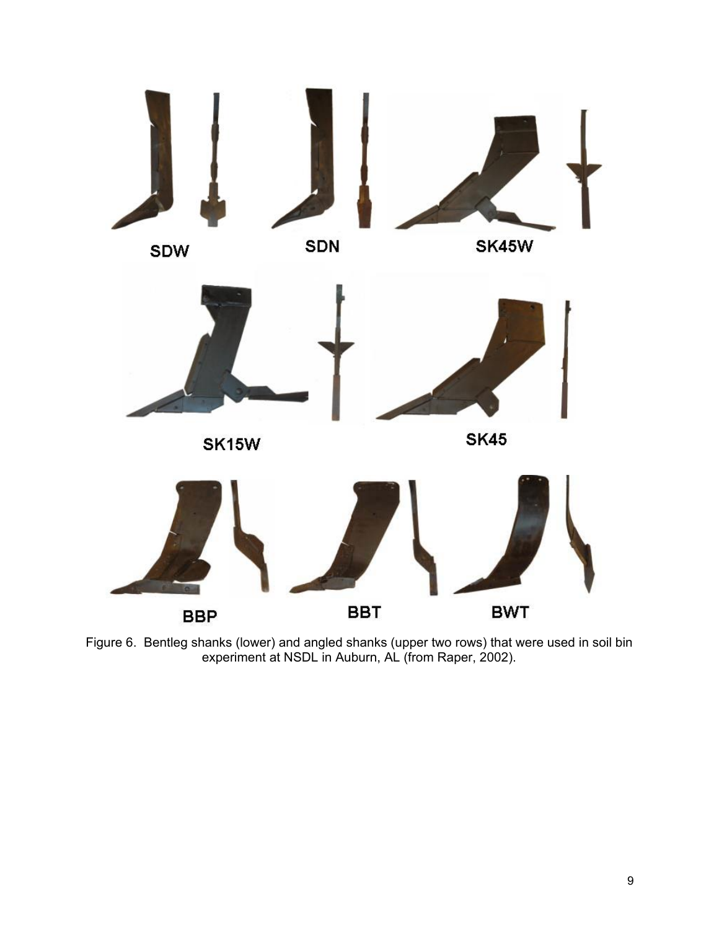

Figure 6. Bentleg shanks (lower) and angled shanks (upper two rows) that were used in soil bin experiment at NSDL in Auburn, AL (from Raper, 2002).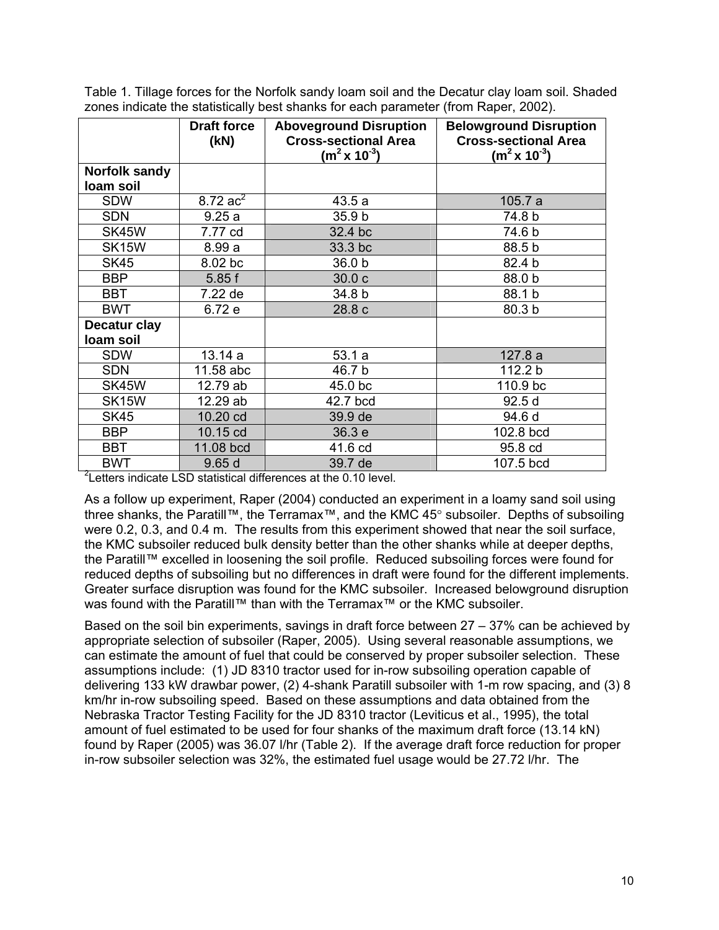|                            | <b>Draft force</b><br>(KN) | <b>Aboveground Disruption</b><br><b>Cross-sectional Area</b><br>$(m^2 \times 10^{-3})$ | <b>Belowground Disruption</b><br><b>Cross-sectional Area</b><br>$(m^2 \times 10^{-3})$ |  |  |  |  |
|----------------------------|----------------------------|----------------------------------------------------------------------------------------|----------------------------------------------------------------------------------------|--|--|--|--|
| Norfolk sandy<br>loam soil |                            |                                                                                        |                                                                                        |  |  |  |  |
| <b>SDW</b>                 | $8.72 \text{ ac}^2$        | 43.5a                                                                                  | 105.7a                                                                                 |  |  |  |  |
| <b>SDN</b>                 | 9.25a                      | 35.9 b                                                                                 | 74.8 b                                                                                 |  |  |  |  |
| SK45W                      | 7.77 cd                    | 32.4 bc                                                                                | 74.6 b                                                                                 |  |  |  |  |
| SK15W                      | 8.99 a                     | 33.3 bc                                                                                | 88.5 b                                                                                 |  |  |  |  |
| <b>SK45</b>                | 8.02 bc                    | 36.0 b                                                                                 | 82.4 b                                                                                 |  |  |  |  |
| <b>BBP</b>                 | 5.85f                      | 30.0 c                                                                                 | 88.0 b                                                                                 |  |  |  |  |
| <b>BBT</b>                 | 7.22 de                    | 34.8 b                                                                                 | 88.1 b                                                                                 |  |  |  |  |
| <b>BWT</b>                 | 6.72 e                     | 28.8 c                                                                                 | 80.3 b                                                                                 |  |  |  |  |
| Decatur clay<br>loam soil  |                            |                                                                                        |                                                                                        |  |  |  |  |
| <b>SDW</b>                 | 13.14a                     | 53.1a                                                                                  | 127.8 a                                                                                |  |  |  |  |
| <b>SDN</b>                 | 11.58 abc                  | 46.7 b                                                                                 | 112.2 b                                                                                |  |  |  |  |
| SK45W                      | 12.79 ab                   | 45.0 bc                                                                                | 110.9 bc                                                                               |  |  |  |  |
| SK15W                      | 12.29 ab                   | 42.7 bcd                                                                               | 92.5 <sub>d</sub>                                                                      |  |  |  |  |
| <b>SK45</b>                | 10.20 cd                   | 39.9 de                                                                                | 94.6 d                                                                                 |  |  |  |  |
| <b>BBP</b>                 | 10.15 cd                   | 36.3 e                                                                                 | 102.8 bcd                                                                              |  |  |  |  |
| <b>BBT</b>                 | 11.08 bcd                  | 41.6 cd                                                                                | 95.8 cd                                                                                |  |  |  |  |
| <b>BWT</b>                 | 9.65d                      | 39.7 de                                                                                | 107.5 bcd                                                                              |  |  |  |  |

Table 1. Tillage forces for the Norfolk sandy loam soil and the Decatur clay loam soil. Shaded zones indicate the statistically best shanks for each parameter (from Raper, 2002).

<sup>2</sup>Letters indicate LSD statistical differences at the 0.10 level.

As a follow up experiment, Raper (2004) conducted an experiment in a loamy sand soil using three shanks, the Paratill™, the Terramax™, and the KMC 45° subsoiler. Depths of subsoiling were 0.2, 0.3, and 0.4 m. The results from this experiment showed that near the soil surface, the KMC subsoiler reduced bulk density better than the other shanks while at deeper depths, the Paratill™ excelled in loosening the soil profile. Reduced subsoiling forces were found for reduced depths of subsoiling but no differences in draft were found for the different implements. Greater surface disruption was found for the KMC subsoiler. Increased belowground disruption was found with the Paratill™ than with the Terramax™ or the KMC subsoiler.

Based on the soil bin experiments, savings in draft force between  $27 - 37\%$  can be achieved by appropriate selection of subsoiler (Raper, 2005). Using several reasonable assumptions, we can estimate the amount of fuel that could be conserved by proper subsoiler selection. These assumptions include: (1) JD 8310 tractor used for in-row subsoiling operation capable of delivering 133 kW drawbar power, (2) 4-shank Paratill subsoiler with 1-m row spacing, and (3) 8 km/hr in-row subsoiling speed. Based on these assumptions and data obtained from the Nebraska Tractor Testing Facility for the JD 8310 tractor (Leviticus et al., 1995), the total amount of fuel estimated to be used for four shanks of the maximum draft force (13.14 kN) found by Raper (2005) was 36.07 l/hr (Table 2). If the average draft force reduction for proper in-row subsoiler selection was 32%, the estimated fuel usage would be 27.72 l/hr. The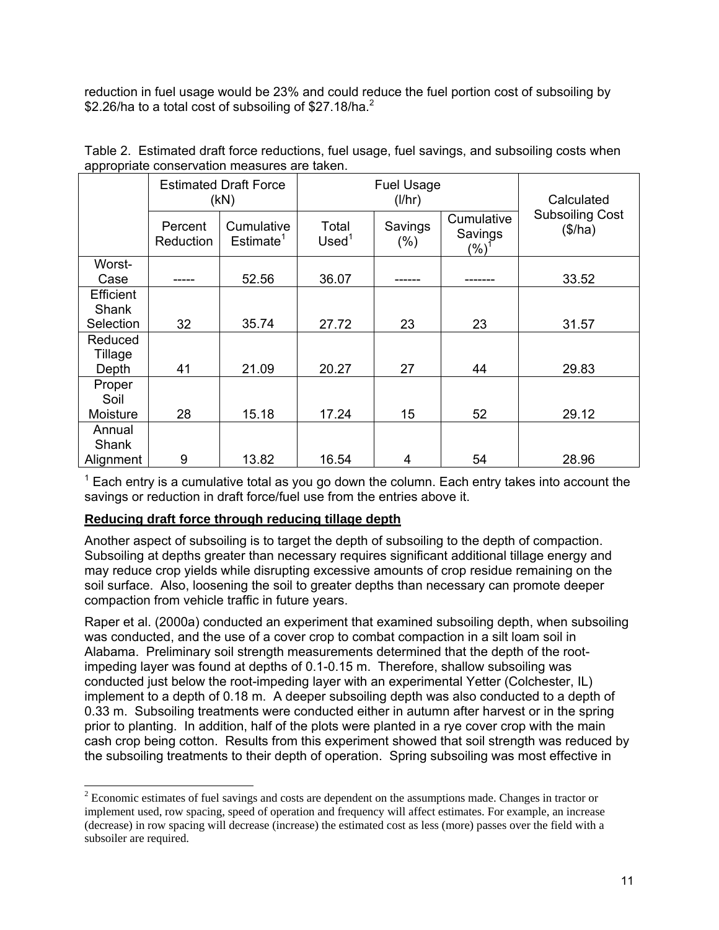reduction in fuel usage would be 23% and could reduce the fuel portion cost of subsoiling by \$2.26/ha to a total cost of subsoiling of \$27.18/ha.<sup>2</sup>

|                  | <b>Estimated Draft Force</b><br>(kN) |                                     | <b>Fuel Usage</b><br>(1/hr) |                 |                                   | Calculated                        |
|------------------|--------------------------------------|-------------------------------------|-----------------------------|-----------------|-----------------------------------|-----------------------------------|
|                  | Percent<br>Reduction                 | Cumulative<br>Estimate <sup>1</sup> | Total<br>Used <sup>1</sup>  | Savings<br>(% ) | Cumulative<br>Savings<br>$(\%)^1$ | <b>Subsoiling Cost</b><br>(\$/ha) |
| Worst-           |                                      |                                     |                             |                 |                                   |                                   |
| Case             |                                      | 52.56                               | 36.07                       |                 |                                   | 33.52                             |
| <b>Efficient</b> |                                      |                                     |                             |                 |                                   |                                   |
| Shank            |                                      |                                     |                             |                 |                                   |                                   |
| Selection        | 32                                   | 35.74                               | 27.72                       | 23              | 23                                | 31.57                             |
| Reduced          |                                      |                                     |                             |                 |                                   |                                   |
| Tillage          |                                      |                                     |                             |                 |                                   |                                   |
| Depth            | 41                                   | 21.09                               | 20.27                       | 27              | 44                                | 29.83                             |
| Proper           |                                      |                                     |                             |                 |                                   |                                   |
| Soil             |                                      |                                     |                             |                 |                                   |                                   |
| Moisture         | 28                                   | 15.18                               | 17.24                       | 15              | 52                                | 29.12                             |
| Annual           |                                      |                                     |                             |                 |                                   |                                   |
| Shank            |                                      |                                     |                             |                 |                                   |                                   |
| Alignment        | 9                                    | 13.82                               | 16.54                       | 4               | 54                                | 28.96                             |

Table 2. Estimated draft force reductions, fuel usage, fuel savings, and subsoiling costs when appropriate conservation measures are taken.

 $1$  Each entry is a cumulative total as you go down the column. Each entry takes into account the savings or reduction in draft force/fuel use from the entries above it.

## **Reducing draft force through reducing tillage depth**

-

Another aspect of subsoiling is to target the depth of subsoiling to the depth of compaction. Subsoiling at depths greater than necessary requires significant additional tillage energy and may reduce crop yields while disrupting excessive amounts of crop residue remaining on the soil surface. Also, loosening the soil to greater depths than necessary can promote deeper compaction from vehicle traffic in future years.

Raper et al. (2000a) conducted an experiment that examined subsoiling depth, when subsoiling was conducted, and the use of a cover crop to combat compaction in a silt loam soil in Alabama. Preliminary soil strength measurements determined that the depth of the rootimpeding layer was found at depths of 0.1-0.15 m. Therefore, shallow subsoiling was conducted just below the root-impeding layer with an experimental Yetter (Colchester, IL) implement to a depth of 0.18 m. A deeper subsoiling depth was also conducted to a depth of 0.33 m. Subsoiling treatments were conducted either in autumn after harvest or in the spring prior to planting. In addition, half of the plots were planted in a rye cover crop with the main cash crop being cotton. Results from this experiment showed that soil strength was reduced by the subsoiling treatments to their depth of operation. Spring subsoiling was most effective in

 $2^{2}$  Economic estimates of fuel savings and costs are dependent on the assumptions made. Changes in tractor or implement used, row spacing, speed of operation and frequency will affect estimates. For example, an increase (decrease) in row spacing will decrease (increase) the estimated cost as less (more) passes over the field with a subsoiler are required.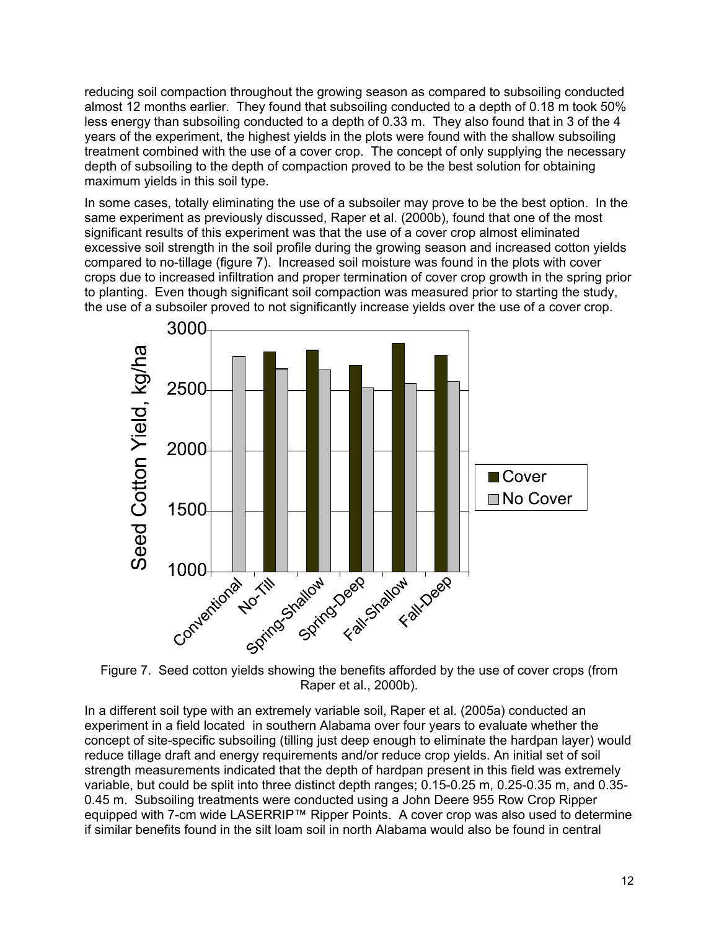reducing soil compaction throughout the growing season as compared to subsoiling conducted almost 12 months earlier. They found that subsoiling conducted to a depth of 0.18 m took 50% less energy than subsoiling conducted to a depth of 0.33 m. They also found that in 3 of the 4 years of the experiment, the highest yields in the plots were found with the shallow subsoiling treatment combined with the use of a cover crop. The concept of only supplying the necessary depth of subsoiling to the depth of compaction proved to be the best solution for obtaining maximum yields in this soil type.

In some cases, totally eliminating the use of a subsoiler may prove to be the best option. In the same experiment as previously discussed, Raper et al. (2000b), found that one of the most significant results of this experiment was that the use of a cover crop almost eliminated excessive soil strength in the soil profile during the growing season and increased cotton yields compared to no-tillage (figure 7). Increased soil moisture was found in the plots with cover crops due to increased infiltration and proper termination of cover crop growth in the spring prior to planting. Even though significant soil compaction was measured prior to starting the study, the use of a subsoiler proved to not significantly increase yields over the use of a cover crop.



Figure 7. Seed cotton yields showing the benefits afforded by the use of cover crops (from Raper et al., 2000b).

In a different soil type with an extremely variable soil, Raper et al. (2005a) conducted an experiment in a field located in southern Alabama over four years to evaluate whether the concept of site-specific subsoiling (tilling just deep enough to eliminate the hardpan layer) would reduce tillage draft and energy requirements and/or reduce crop yields. An initial set of soil strength measurements indicated that the depth of hardpan present in this field was extremely variable, but could be split into three distinct depth ranges; 0.15-0.25 m, 0.25-0.35 m, and 0.35 0.45 m. Subsoiling treatments were conducted using a John Deere 955 Row Crop Ripper equipped with 7-cm wide LASERRIP™ Ripper Points. A cover crop was also used to determine if similar benefits found in the silt loam soil in north Alabama would also be found in central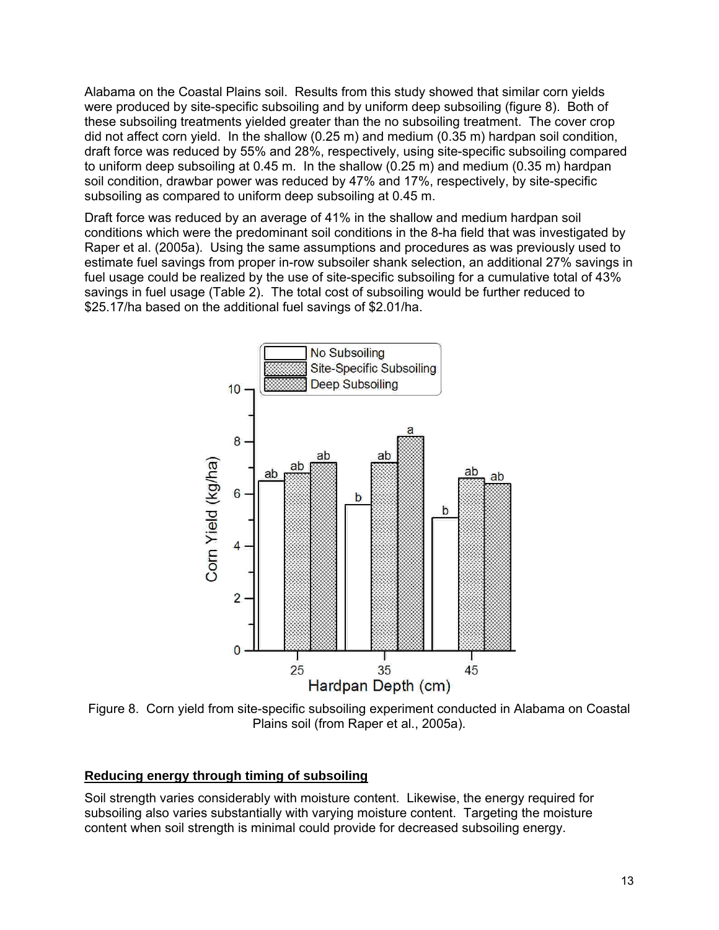Alabama on the Coastal Plains soil. Results from this study showed that similar corn yields were produced by site-specific subsoiling and by uniform deep subsoiling (figure 8). Both of these subsoiling treatments yielded greater than the no subsoiling treatment. The cover crop did not affect corn yield. In the shallow (0.25 m) and medium (0.35 m) hardpan soil condition, draft force was reduced by 55% and 28%, respectively, using site-specific subsoiling compared to uniform deep subsoiling at 0.45 m. In the shallow (0.25 m) and medium (0.35 m) hardpan soil condition, drawbar power was reduced by 47% and 17%, respectively, by site-specific subsoiling as compared to uniform deep subsoiling at 0.45 m.

Draft force was reduced by an average of 41% in the shallow and medium hardpan soil conditions which were the predominant soil conditions in the 8-ha field that was investigated by Raper et al. (2005a). Using the same assumptions and procedures as was previously used to estimate fuel savings from proper in-row subsoiler shank selection, an additional 27% savings in fuel usage could be realized by the use of site-specific subsoiling for a cumulative total of 43% savings in fuel usage (Table 2). The total cost of subsoiling would be further reduced to \$25.17/ha based on the additional fuel savings of \$2.01/ha.



Figure 8. Corn yield from site-specific subsoiling experiment conducted in Alabama on Coastal Plains soil (from Raper et al., 2005a).

## **Reducing energy through timing of subsoiling**

Soil strength varies considerably with moisture content. Likewise, the energy required for subsoiling also varies substantially with varying moisture content. Targeting the moisture content when soil strength is minimal could provide for decreased subsoiling energy.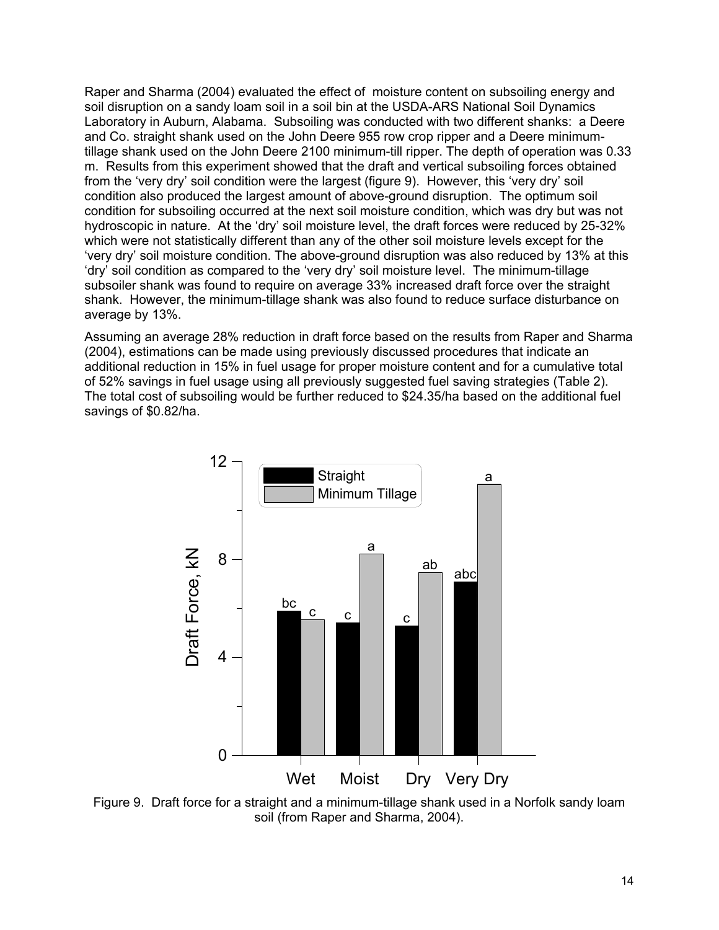Raper and Sharma (2004) evaluated the effect of moisture content on subsoiling energy and soil disruption on a sandy loam soil in a soil bin at the USDA-ARS National Soil Dynamics Laboratory in Auburn, Alabama. Subsoiling was conducted with two different shanks: a Deere and Co. straight shank used on the John Deere 955 row crop ripper and a Deere minimumtillage shank used on the John Deere 2100 minimum-till ripper. The depth of operation was 0.33 m. Results from this experiment showed that the draft and vertical subsoiling forces obtained from the 'very dry' soil condition were the largest (figure 9). However, this 'very dry' soil condition also produced the largest amount of above-ground disruption. The optimum soil condition for subsoiling occurred at the next soil moisture condition, which was dry but was not hydroscopic in nature. At the 'dry' soil moisture level, the draft forces were reduced by 25-32% which were not statistically different than any of the other soil moisture levels except for the 'very dry' soil moisture condition. The above-ground disruption was also reduced by 13% at this 'dry' soil condition as compared to the 'very dry' soil moisture level. The minimum-tillage subsoiler shank was found to require on average 33% increased draft force over the straight shank. However, the minimum-tillage shank was also found to reduce surface disturbance on average by 13%.

Assuming an average 28% reduction in draft force based on the results from Raper and Sharma (2004), estimations can be made using previously discussed procedures that indicate an additional reduction in 15% in fuel usage for proper moisture content and for a cumulative total of 52% savings in fuel usage using all previously suggested fuel saving strategies (Table 2). The total cost of subsoiling would be further reduced to \$24.35/ha based on the additional fuel savings of \$0.82/ha.



Figure 9. Draft force for a straight and a minimum-tillage shank used in a Norfolk sandy loam soil (from Raper and Sharma, 2004).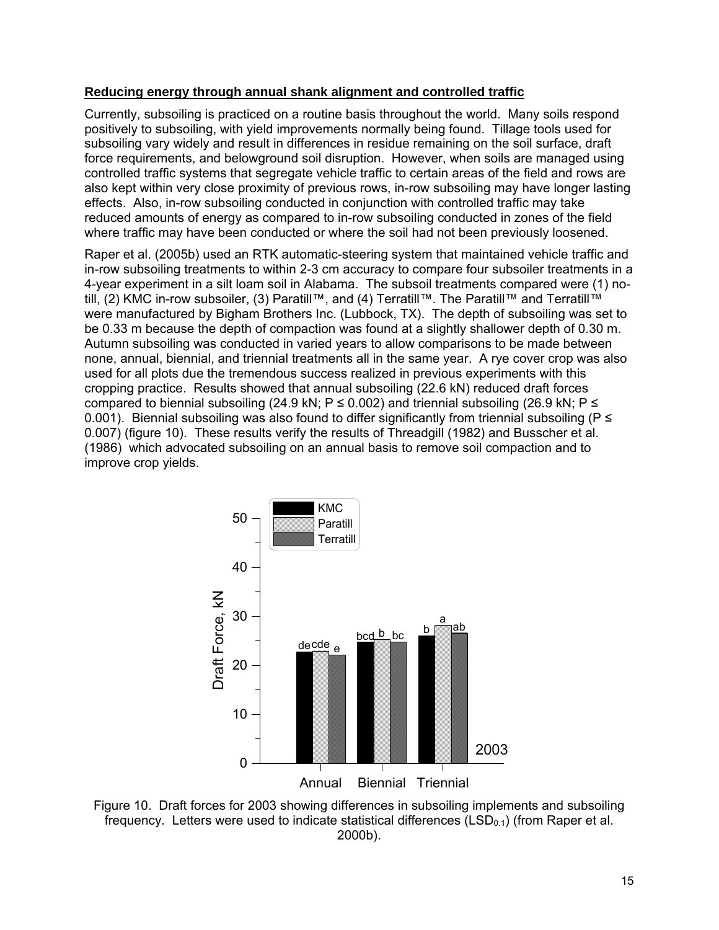#### **Reducing energy through annual shank alignment and controlled traffic**

Currently, subsoiling is practiced on a routine basis throughout the world. Many soils respond positively to subsoiling, with yield improvements normally being found. Tillage tools used for subsoiling vary widely and result in differences in residue remaining on the soil surface, draft force requirements, and belowground soil disruption. However, when soils are managed using controlled traffic systems that segregate vehicle traffic to certain areas of the field and rows are also kept within very close proximity of previous rows, in-row subsoiling may have longer lasting effects. Also, in-row subsoiling conducted in conjunction with controlled traffic may take reduced amounts of energy as compared to in-row subsoiling conducted in zones of the field where traffic may have been conducted or where the soil had not been previously loosened.

Raper et al. (2005b) used an RTK automatic-steering system that maintained vehicle traffic and in-row subsoiling treatments to within 2-3 cm accuracy to compare four subsoiler treatments in a 4-year experiment in a silt loam soil in Alabama. The subsoil treatments compared were (1) notill, (2) KMC in-row subsoiler, (3) Paratill™, and (4) Terratill™. The Paratill™ and Terratill™ were manufactured by Bigham Brothers Inc. (Lubbock, TX). The depth of subsoiling was set to be 0.33 m because the depth of compaction was found at a slightly shallower depth of 0.30 m. Autumn subsoiling was conducted in varied years to allow comparisons to be made between none, annual, biennial, and triennial treatments all in the same year. A rye cover crop was also used for all plots due the tremendous success realized in previous experiments with this cropping practice. Results showed that annual subsoiling (22.6 kN) reduced draft forces compared to biennial subsoiling (24.9 kN;  $P \le 0.002$ ) and triennial subsoiling (26.9 kN;  $P \le$ 0.001). Biennial subsoiling was also found to differ significantly from triennial subsoiling ( $P \leq$ 0.007) (figure 10). These results verify the results of Threadgill (1982) and Busscher et al. (1986) which advocated subsoiling on an annual basis to remove soil compaction and to improve crop yields.



Figure 10. Draft forces for 2003 showing differences in subsoiling implements and subsoiling frequency. Letters were used to indicate statistical differences ( $LSD<sub>0.1</sub>$ ) (from Raper et al. 2000b).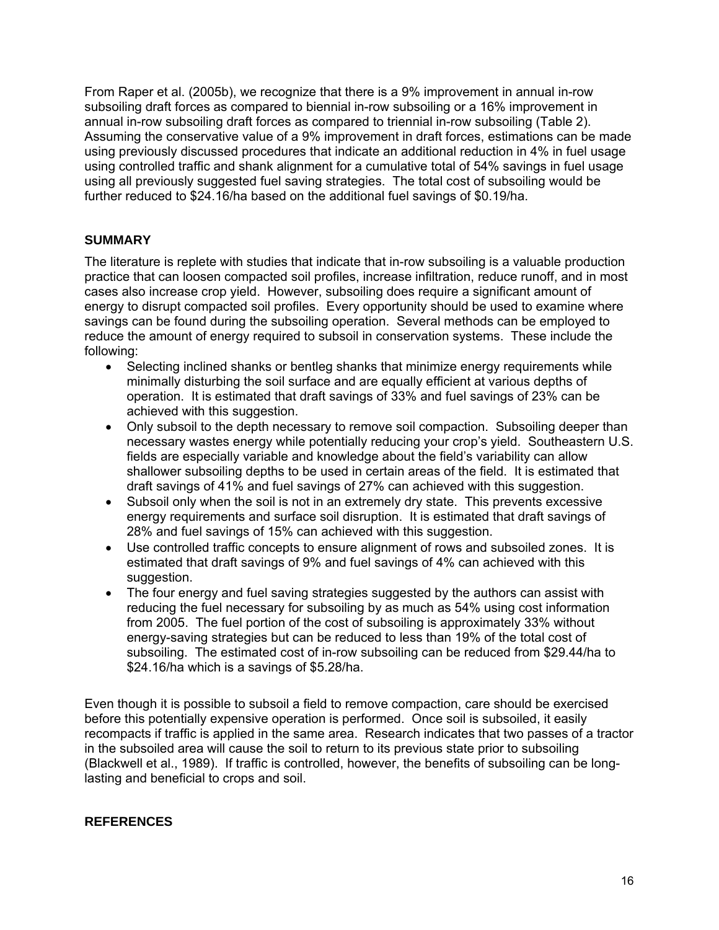From Raper et al. (2005b), we recognize that there is a 9% improvement in annual in-row subsoiling draft forces as compared to biennial in-row subsoiling or a 16% improvement in annual in-row subsoiling draft forces as compared to triennial in-row subsoiling (Table 2). Assuming the conservative value of a 9% improvement in draft forces, estimations can be made using previously discussed procedures that indicate an additional reduction in 4% in fuel usage using controlled traffic and shank alignment for a cumulative total of 54% savings in fuel usage using all previously suggested fuel saving strategies. The total cost of subsoiling would be further reduced to \$24.16/ha based on the additional fuel savings of \$0.19/ha.

## **SUMMARY**

The literature is replete with studies that indicate that in-row subsoiling is a valuable production practice that can loosen compacted soil profiles, increase infiltration, reduce runoff, and in most cases also increase crop yield. However, subsoiling does require a significant amount of energy to disrupt compacted soil profiles. Every opportunity should be used to examine where savings can be found during the subsoiling operation. Several methods can be employed to reduce the amount of energy required to subsoil in conservation systems. These include the following:

- Selecting inclined shanks or bentleg shanks that minimize energy requirements while minimally disturbing the soil surface and are equally efficient at various depths of operation. It is estimated that draft savings of 33% and fuel savings of 23% can be achieved with this suggestion.
- Only subsoil to the depth necessary to remove soil compaction. Subsoiling deeper than necessary wastes energy while potentially reducing your crop's yield. Southeastern U.S. fields are especially variable and knowledge about the field's variability can allow shallower subsoiling depths to be used in certain areas of the field. It is estimated that draft savings of 41% and fuel savings of 27% can achieved with this suggestion.
- Subsoil only when the soil is not in an extremely dry state. This prevents excessive energy requirements and surface soil disruption. It is estimated that draft savings of 28% and fuel savings of 15% can achieved with this suggestion.
- Use controlled traffic concepts to ensure alignment of rows and subsoiled zones. It is estimated that draft savings of 9% and fuel savings of 4% can achieved with this suggestion.
- The four energy and fuel saving strategies suggested by the authors can assist with reducing the fuel necessary for subsoiling by as much as 54% using cost information from 2005. The fuel portion of the cost of subsoiling is approximately 33% without energy-saving strategies but can be reduced to less than 19% of the total cost of subsoiling. The estimated cost of in-row subsoiling can be reduced from \$29.44/ha to \$24.16/ha which is a savings of \$5.28/ha.

Even though it is possible to subsoil a field to remove compaction, care should be exercised before this potentially expensive operation is performed. Once soil is subsoiled, it easily recompacts if traffic is applied in the same area. Research indicates that two passes of a tractor in the subsoiled area will cause the soil to return to its previous state prior to subsoiling (Blackwell et al., 1989). If traffic is controlled, however, the benefits of subsoiling can be longlasting and beneficial to crops and soil.

#### **REFERENCES**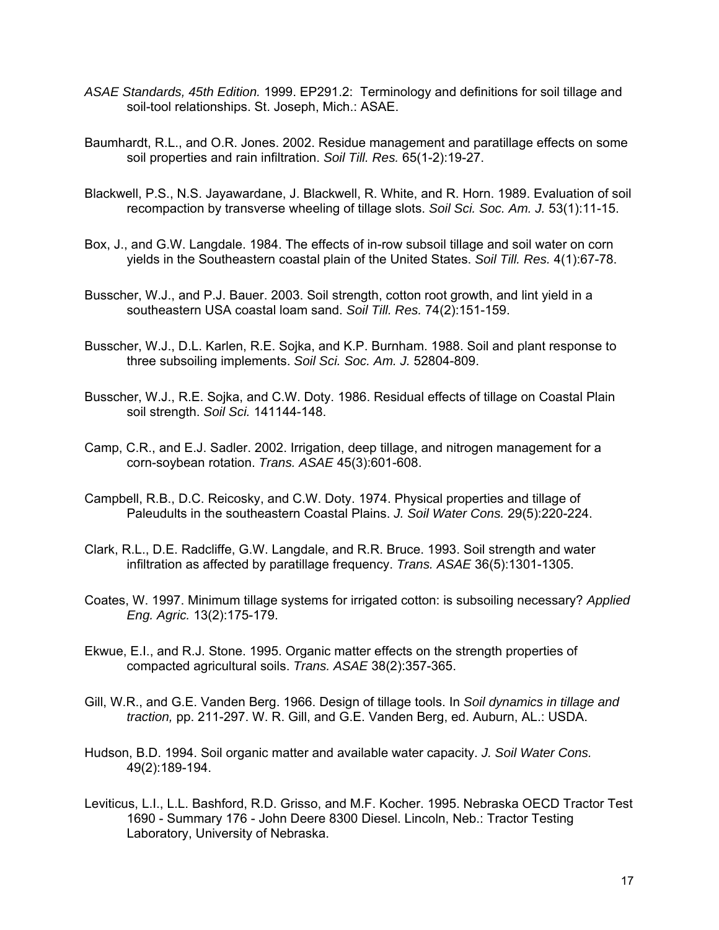- *ASAE Standards, 45th Edition.* 1999. EP291.2: Terminology and definitions for soil tillage and soil-tool relationships. St. Joseph, Mich.: ASAE.
- Baumhardt, R.L., and O.R. Jones. 2002. Residue management and paratillage effects on some soil properties and rain infiltration. *Soil Till. Res.* 65(1-2):19-27.
- Blackwell, P.S., N.S. Jayawardane, J. Blackwell, R. White, and R. Horn. 1989. Evaluation of soil recompaction by transverse wheeling of tillage slots. *Soil Sci. Soc. Am. J.* 53(1):11-15.
- Box, J., and G.W. Langdale. 1984. The effects of in-row subsoil tillage and soil water on corn yields in the Southeastern coastal plain of the United States. *Soil Till. Res.* 4(1):67-78.
- Busscher, W.J., and P.J. Bauer. 2003. Soil strength, cotton root growth, and lint yield in a southeastern USA coastal loam sand. *Soil Till. Res.* 74(2):151-159.
- Busscher, W.J., D.L. Karlen, R.E. Sojka, and K.P. Burnham. 1988. Soil and plant response to three subsoiling implements. *Soil Sci. Soc. Am. J.* 52804-809.
- Busscher, W.J., R.E. Sojka, and C.W. Doty. 1986. Residual effects of tillage on Coastal Plain soil strength. *Soil Sci.* 141144-148.
- Camp, C.R., and E.J. Sadler. 2002. Irrigation, deep tillage, and nitrogen management for a corn-soybean rotation. *Trans. ASAE* 45(3):601-608.
- Campbell, R.B., D.C. Reicosky, and C.W. Doty. 1974. Physical properties and tillage of Paleudults in the southeastern Coastal Plains. *J. Soil Water Cons.* 29(5):220-224.
- Clark, R.L., D.E. Radcliffe, G.W. Langdale, and R.R. Bruce. 1993. Soil strength and water infiltration as affected by paratillage frequency. *Trans. ASAE* 36(5):1301-1305.
- Coates, W. 1997. Minimum tillage systems for irrigated cotton: is subsoiling necessary? *Applied Eng. Agric.* 13(2):175-179.
- Ekwue, E.I., and R.J. Stone. 1995. Organic matter effects on the strength properties of compacted agricultural soils. *Trans. ASAE* 38(2):357-365.
- Gill, W.R., and G.E. Vanden Berg. 1966. Design of tillage tools. In *Soil dynamics in tillage and traction,* pp. 211-297. W. R. Gill, and G.E. Vanden Berg, ed. Auburn, AL.: USDA.
- Hudson, B.D. 1994. Soil organic matter and available water capacity. *J. Soil Water Cons.*  49(2):189-194.
- Leviticus, L.I., L.L. Bashford, R.D. Grisso, and M.F. Kocher. 1995. Nebraska OECD Tractor Test 1690 - Summary 176 - John Deere 8300 Diesel. Lincoln, Neb.: Tractor Testing Laboratory, University of Nebraska.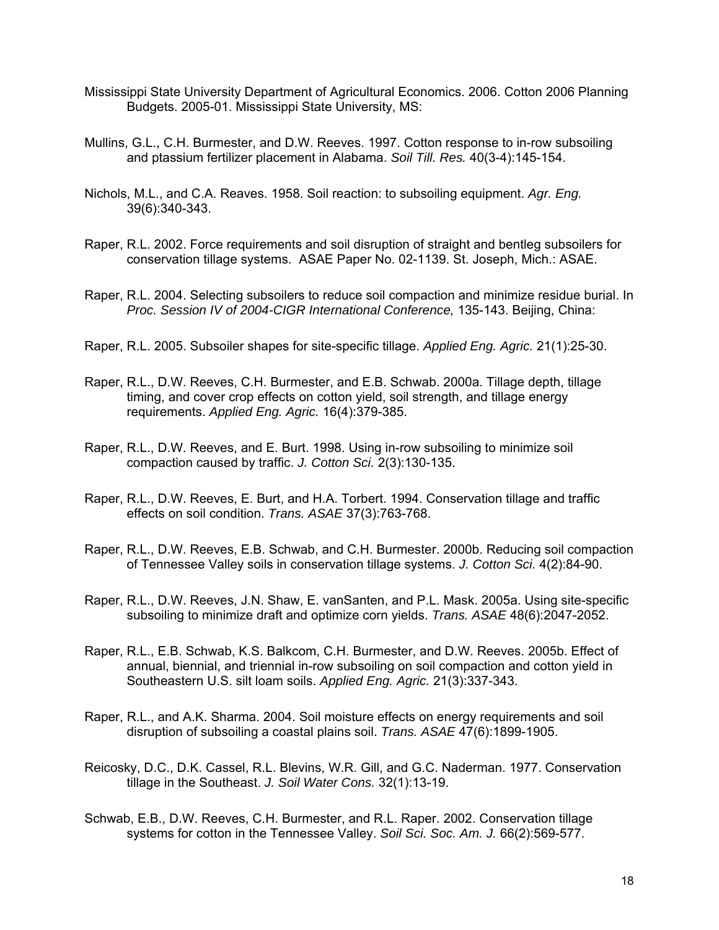- Mississippi State University Department of Agricultural Economics. 2006. Cotton 2006 Planning Budgets. 2005-01. Mississippi State University, MS:
- Mullins, G.L., C.H. Burmester, and D.W. Reeves. 1997. Cotton response to in-row subsoiling and ptassium fertilizer placement in Alabama. *Soil Till. Res.* 40(3-4):145-154.
- Nichols, M.L., and C.A. Reaves. 1958. Soil reaction: to subsoiling equipment. *Agr. Eng.*  39(6):340-343.
- Raper, R.L. 2002. Force requirements and soil disruption of straight and bentleg subsoilers for conservation tillage systems. ASAE Paper No. 02-1139. St. Joseph, Mich.: ASAE.
- Raper, R.L. 2004. Selecting subsoilers to reduce soil compaction and minimize residue burial. In *Proc. Session IV of 2004-CIGR International Conference, 135-143. Beijing, China:*
- Raper, R.L. 2005. Subsoiler shapes for site-specific tillage. *Applied Eng. Agric.* 21(1):25-30.
- Raper, R.L., D.W. Reeves, C.H. Burmester, and E.B. Schwab. 2000a. Tillage depth, tillage timing, and cover crop effects on cotton yield, soil strength, and tillage energy requirements. *Applied Eng. Agric.* 16(4):379-385.
- Raper, R.L., D.W. Reeves, and E. Burt. 1998. Using in-row subsoiling to minimize soil compaction caused by traffic. *J. Cotton Sci.* 2(3):130-135.
- Raper, R.L., D.W. Reeves, E. Burt, and H.A. Torbert. 1994. Conservation tillage and traffic effects on soil condition. *Trans. ASAE* 37(3):763-768.
- Raper, R.L., D.W. Reeves, E.B. Schwab, and C.H. Burmester. 2000b. Reducing soil compaction of Tennessee Valley soils in conservation tillage systems. *J. Cotton Sci.* 4(2):84-90.
- Raper, R.L., D.W. Reeves, J.N. Shaw, E. vanSanten, and P.L. Mask. 2005a. Using site-specific subsoiling to minimize draft and optimize corn yields. *Trans. ASAE* 48(6):2047-2052.
- Raper, R.L., E.B. Schwab, K.S. Balkcom, C.H. Burmester, and D.W. Reeves. 2005b. Effect of annual, biennial, and triennial in-row subsoiling on soil compaction and cotton yield in Southeastern U.S. silt loam soils. *Applied Eng. Agric.* 21(3):337-343.
- Raper, R.L., and A.K. Sharma. 2004. Soil moisture effects on energy requirements and soil disruption of subsoiling a coastal plains soil. *Trans. ASAE* 47(6):1899-1905.
- Reicosky, D.C., D.K. Cassel, R.L. Blevins, W.R. Gill, and G.C. Naderman. 1977. Conservation tillage in the Southeast. *J. Soil Water Cons.* 32(1):13-19.
- Schwab, E.B., D.W. Reeves, C.H. Burmester, and R.L. Raper. 2002. Conservation tillage systems for cotton in the Tennessee Valley. *Soil Sci. Soc. Am. J.* 66(2):569-577.